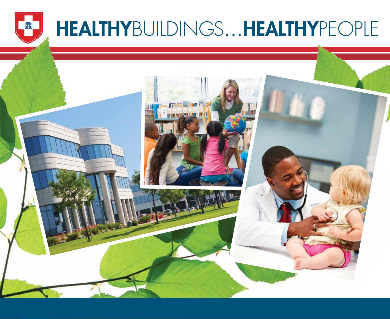

## HEALTHYBUILDINGS…HEALTHYPEOPLE

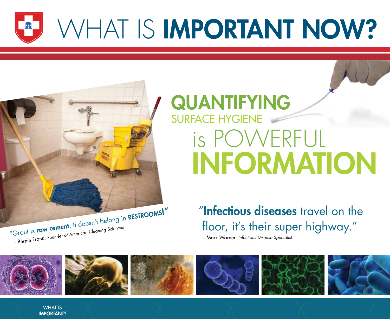

# WHAT IS **IMPORTANT NOW?**

## QUANTIFYING SURFACE HYGIENE is POWERFUL INFORMATION

"Infectious diseases travel on the floor, it's their super highway."

– Mark Warner, Infectious Disease Specialist



WHAT IS IMPORTANT?

"Grout is raw cement, it doesn't belong in RESTROOMS!"

– Bernie Frank, Founder of American Cleaning Sciences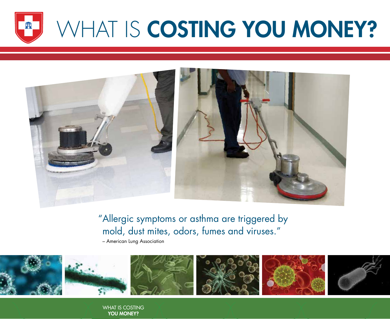

# WHAT IS COSTING YOU MONEY?



"Allergic symptoms or asthma are triggered by mold, dust mites, odors, fumes and viruses."

– American Lung Association



WHAT IS COSTING YOU MONEY?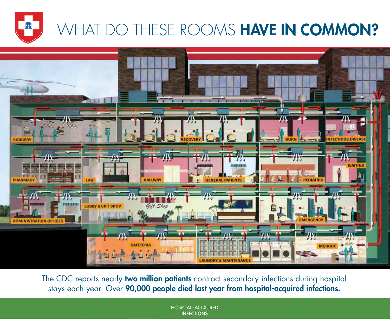

### WHAT DO THESE ROOMS HAVE IN COMMON?



The CDC reports nearly two million patients contract secondary infections during hospital stays each year. Over **90,000 people died last year from hospital-acquired infections.** 

> HOSPITAL–ACQUIRED **INFECTIONS**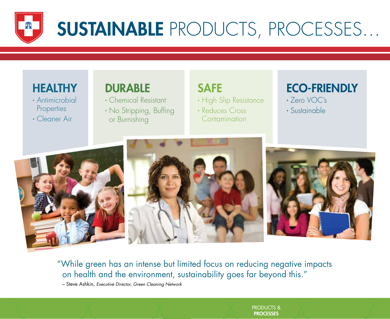

#### **HEALTHY**

- ∙ Antimicrobial **Properties**
- ∙ Cleaner Air

#### DURABLE

- ∙ Chemical Resistant
- No Stripping, Buffing or Burnishing

### SAFE

∙ High Slip Resistance

∙ Reduces Cross **Contamination** 

### ECO-FRIENDLY

- ∙ Zero VOC's
- ∙ Sustainable







"While green has an intense but limited focus on reducing negative impacts on health and the environment, sustainability goes far beyond this."

– Steve Ashkin, Executive Director, Green Cleaning Network

PRODUCTS & **PROCESSES**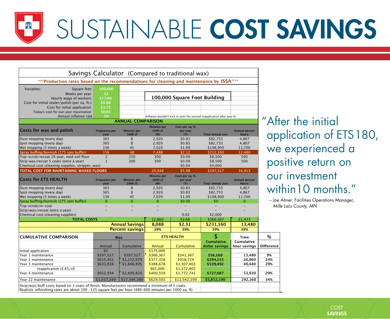# SUSTAINABLE COST SAVINGS

2 AB SIZE T, A BANK TO ABS TO ABS THE THE SIZE TO ABS TO ABS THE THE

|                                                                                           |                          |                               |                               | Savings Calculator (Compared to traditional wax) |                                                                          |                      |
|-------------------------------------------------------------------------------------------|--------------------------|-------------------------------|-------------------------------|--------------------------------------------------|--------------------------------------------------------------------------|----------------------|
| *** Production rates based on the recommendations for cleaning and maintenance by ISSA*** |                          |                               |                               |                                                  |                                                                          |                      |
| Variables:<br>Square feet:<br>Weeks per year:<br>Hourly wage of workers:                  | 100,000<br>52<br>\$17.00 |                               |                               | 100,000 Square Foot Building                     |                                                                          |                      |
| Cost for initial sealer/polish (per sq. ft.):                                             | \$0.00                   |                               |                               |                                                  |                                                                          |                      |
| Cost for initial application:                                                             | \$1.75                   |                               |                               |                                                  |                                                                          |                      |
| Today's cost for out-year rejuvination:                                                   | \$0.65                   |                               |                               |                                                  |                                                                          |                      |
| Annual inflation rate                                                                     | 3%                       |                               |                               |                                                  | (Inflation wouldn't kick in until the second reapplication after year 6) |                      |
|                                                                                           |                          | <b>ANNUAL COMPARISON</b>      |                               |                                                  |                                                                          |                      |
| Costs for wax and polish                                                                  | <b>Frequency per</b>     | <b>Minutes per</b>            | <b>Minutes per</b><br>1000 sf | Cost per sq. ft.<br>per year                     |                                                                          | Annual person        |
|                                                                                           | year                     | 1000 sf                       | (W)                           | (Y)                                              | <b>Total annual cost</b>                                                 | hours                |
| Dust mopping (every day)                                                                  | 365                      | 8                             | 2,920                         | \$0.83                                           | \$82,733                                                                 | 4,867                |
| Spot mopping (every day)                                                                  | 365                      | 8                             | 2,920                         | \$0.83                                           | \$82,733                                                                 | 4,867                |
| Wet mopping (3 times a week)                                                              | 156                      | 45                            | 7,020                         | \$1.99                                           | \$198,900                                                                | 11,700               |
| Spray buffing/burnish (175 rpm buffer)                                                    | 156                      | 48                            | 7,488                         | \$2.12                                           | \$212,160                                                                | 12,480               |
| Top-scrub/recoat 2X year, med soil floor                                                  | $\overline{2}$           | 150                           | 300                           | \$0.09                                           | \$8,500                                                                  | 500                  |
| Strip wax/recoat 5 coats (once a year)                                                    | $\mathbf{1}$             | 300                           | 300                           | \$0.09                                           | \$8,500                                                                  | 500                  |
| Chemical cost (cleaning supplies, stripper, wax)                                          |                          |                               |                               | \$0.04                                           | \$4,000                                                                  |                      |
| TOTAL COST FOR MAINTAINING WAXED FLOORS                                                   |                          |                               | 20,948                        | \$5.98                                           | \$597,527                                                                | 34,913               |
| <b>Costs for ETS HEALTH</b>                                                               | <b>Frequency per</b>     | <b>Minutes per</b><br>1000 sf | <b>Minutes per</b><br>1000 sf | Cost per sq. ft.<br>per year                     |                                                                          | <b>Annual person</b> |
| Dust mopping (every day)                                                                  | year<br>365              | 8                             | (W)<br>2,920                  | (Y)<br>\$0.83                                    | <b>Total annual cost</b><br>\$82,733                                     | hours<br>4,867       |
| Spot mopping (every day)                                                                  | 365                      | 8                             | 2,920                         | \$0.83                                           | \$82,733                                                                 | 4,867                |
| Wet mopping (3 times a week)                                                              | 156                      | 45                            | 7,020                         | \$1.99                                           | \$198,900                                                                | 11,700               |
| Spray buffing/burnish (175 rpm buffer)                                                    | $\Omega$                 | $\Omega$                      | $\overline{0}$                | \$0.00                                           | \$0                                                                      | $\Omega$             |
| Top-scrub/re-coat                                                                         |                          |                               |                               |                                                  |                                                                          |                      |
| Strip/wax/recoat (once a year)                                                            |                          |                               |                               |                                                  |                                                                          |                      |
| Chemical cost (cleaning supplies)                                                         |                          |                               |                               | 0.02                                             | \$2,000                                                                  |                      |
| <b>TOTAL COSTS</b>                                                                        |                          |                               | 12,860                        | \$3.66                                           | \$366,367                                                                | 21,433               |
|                                                                                           |                          | <b>Annual Savings</b>         | 8,088                         | \$2.31                                           | \$231,160                                                                | 13,480               |
|                                                                                           |                          | <b>Percent savings</b>        | 39%                           | 39%                                              | 39%                                                                      | 39%                  |
| <b>CUMULATIVE COMPARISON</b>                                                              |                          |                               |                               | <b>ETS HEALTH</b>                                |                                                                          |                      |
|                                                                                           | Wax                      |                               |                               |                                                  | <b>Cumulative</b>                                                        | Time<br>Cumulative   |
|                                                                                           | Annual                   | Cumulative                    | Annual                        | <b>Cumulative</b>                                | dollar savings                                                           | hour savings         |
|                                                                                           | \$0                      |                               | \$175,000                     |                                                  |                                                                          |                      |
| Initial application<br>Year 1 maintenance                                                 | \$597,527                | \$597,527                     | \$366,367                     | \$541,367                                        | \$56,160                                                                 | 13,480               |
| Year 2 maintenance                                                                        | \$615,452                |                               | \$377,358                     | \$918,724                                        | \$294,255                                                                | 26,960               |
|                                                                                           | \$633,916                | \$1,212,979<br>\$1,846,895    | \$388,678                     | \$1,307,403                                      | \$539,492                                                                | 40,440               |
|                                                                                           |                          |                               |                               |                                                  |                                                                          |                      |
| Year 3 maintenance                                                                        |                          |                               |                               |                                                  |                                                                          |                      |
| reapplication $($.65/sf)$                                                                 |                          |                               | \$65,000                      | \$1,372,403                                      |                                                                          |                      |
| Year 4 maintenance<br>Year 22 maintenance                                                 | \$652,934<br>\$1,017.249 | \$2,499,829<br>\$17,394,389   | \$400,339<br>\$629.503        | \$1,772,741<br>\$11,542,199                      | \$727,087<br>\$5,852,190                                                 | 53,920<br>292,160    |

After the initial application of ETS 180, we experienced a positive return on our investment within10 months."

– Joe Ahner, Facilities Operations Manager, Mille Lacs County, MN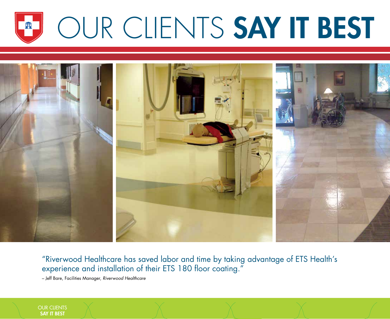### OUR CLIENTS SAY IT BEST 盙



"Riverwood Healthcare has saved labor and time by taking advantage of ETS Health's experience and installation of their ETS 180 floor coating."

– Jeff Bare, Facilities Manager, Riverwood Healthcare

OUR CLIENTS SAY IT BEST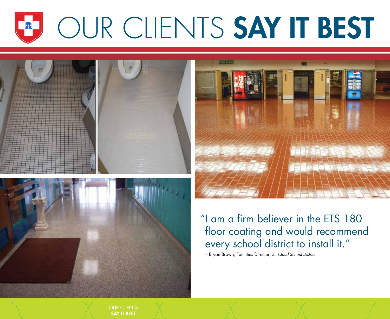### OUR CLIENTS SAY IT BEST 盙







"I am a frm believer in the ETS 180 floor coating and would recommend every school district to install it."

– Bryan Brown, Facilities Director, St. Cloud School District

OUR CLIENTS SAY IT BEST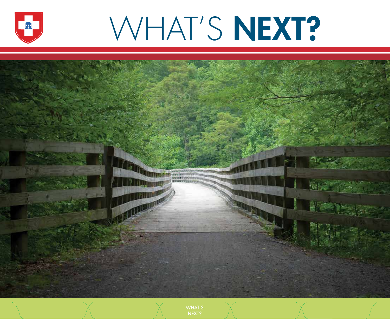

# WHAT'S NEXT?



WHAT'S NEXT?